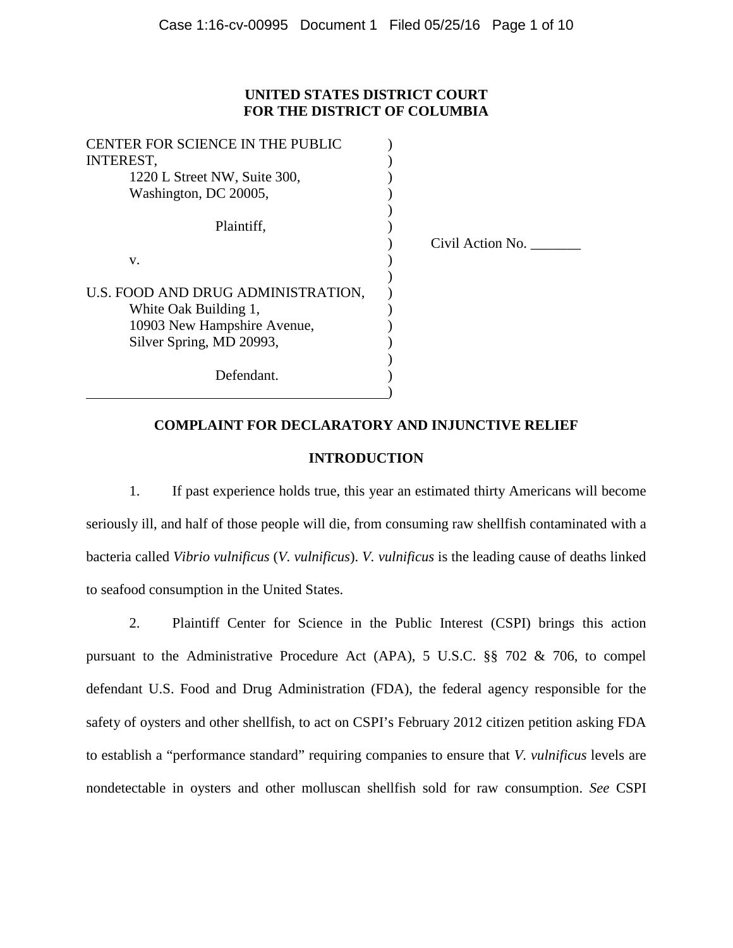# **UNITED STATES DISTRICT COURT FOR THE DISTRICT OF COLUMBIA**

| CENTER FOR SCIENCE IN THE PUBLIC   |                  |
|------------------------------------|------------------|
| <b>INTEREST,</b>                   |                  |
| 1220 L Street NW, Suite 300,       |                  |
| Washington, DC 20005,              |                  |
|                                    |                  |
| Plaintiff,                         |                  |
|                                    | Civil Action No. |
| V.                                 |                  |
|                                    |                  |
| U.S. FOOD AND DRUG ADMINISTRATION, |                  |
| White Oak Building 1,              |                  |
| 10903 New Hampshire Avenue,        |                  |
| Silver Spring, MD 20993,           |                  |
|                                    |                  |
| Defendant.                         |                  |
|                                    |                  |

# **COMPLAINT FOR DECLARATORY AND INJUNCTIVE RELIEF**

# **INTRODUCTION**

1. If past experience holds true, this year an estimated thirty Americans will become seriously ill, and half of those people will die, from consuming raw shellfish contaminated with a bacteria called *Vibrio vulnificus* (*V. vulnificus*). *V. vulnificus* is the leading cause of deaths linked to seafood consumption in the United States.

2. Plaintiff Center for Science in the Public Interest (CSPI) brings this action pursuant to the Administrative Procedure Act (APA), 5 U.S.C. §§ 702 & 706, to compel defendant U.S. Food and Drug Administration (FDA), the federal agency responsible for the safety of oysters and other shellfish, to act on CSPI's February 2012 citizen petition asking FDA to establish a "performance standard" requiring companies to ensure that *V. vulnificus* levels are nondetectable in oysters and other molluscan shellfish sold for raw consumption. *See* CSPI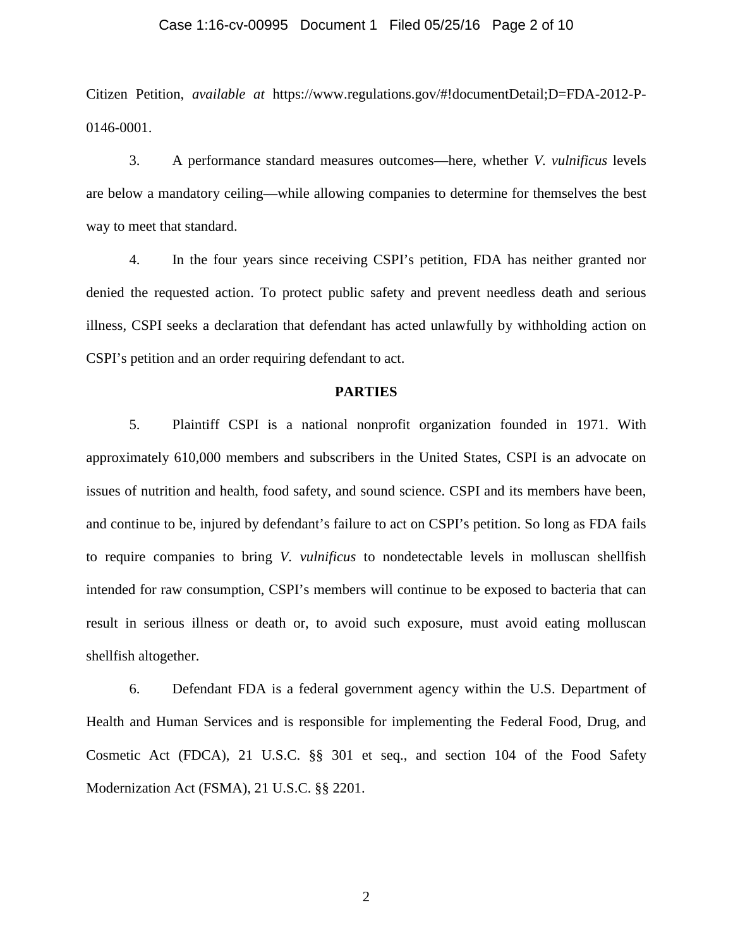#### Case 1:16-cv-00995 Document 1 Filed 05/25/16 Page 2 of 10

Citizen Petition, *available at* https://www.regulations.gov/#!documentDetail;D=FDA-2012-P-0146-0001.

3. A performance standard measures outcomes—here, whether *V. vulnificus* levels are below a mandatory ceiling—while allowing companies to determine for themselves the best way to meet that standard.

4. In the four years since receiving CSPI's petition, FDA has neither granted nor denied the requested action. To protect public safety and prevent needless death and serious illness, CSPI seeks a declaration that defendant has acted unlawfully by withholding action on CSPI's petition and an order requiring defendant to act.

#### **PARTIES**

5. Plaintiff CSPI is a national nonprofit organization founded in 1971. With approximately 610,000 members and subscribers in the United States, CSPI is an advocate on issues of nutrition and health, food safety, and sound science. CSPI and its members have been, and continue to be, injured by defendant's failure to act on CSPI's petition. So long as FDA fails to require companies to bring *V. vulnificus* to nondetectable levels in molluscan shellfish intended for raw consumption, CSPI's members will continue to be exposed to bacteria that can result in serious illness or death or, to avoid such exposure, must avoid eating molluscan shellfish altogether.

6. Defendant FDA is a federal government agency within the U.S. Department of Health and Human Services and is responsible for implementing the Federal Food, Drug, and Cosmetic Act (FDCA), 21 U.S.C. §§ 301 et seq., and section 104 of the Food Safety Modernization Act (FSMA), 21 U.S.C. §§ 2201.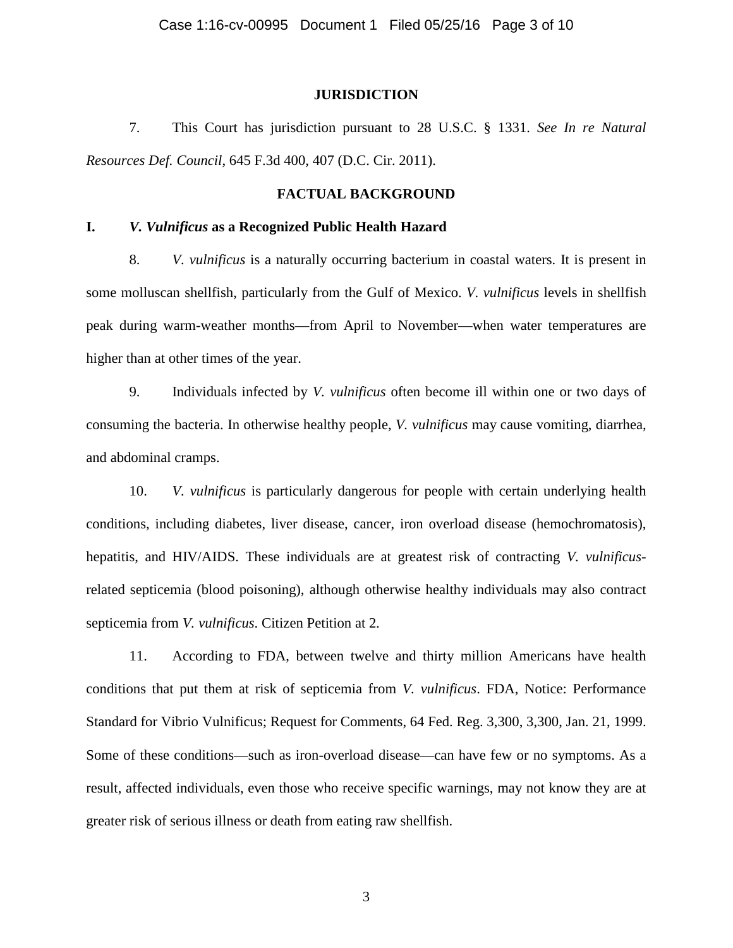#### **JURISDICTION**

7. This Court has jurisdiction pursuant to 28 U.S.C. § 1331. *See In re Natural Resources Def. Council*, 645 F.3d 400, 407 (D.C. Cir. 2011).

## **FACTUAL BACKGROUND**

# **I.** *V. Vulnificus* **as a Recognized Public Health Hazard**

8. *V. vulnificus* is a naturally occurring bacterium in coastal waters. It is present in some molluscan shellfish, particularly from the Gulf of Mexico. *V. vulnificus* levels in shellfish peak during warm-weather months—from April to November—when water temperatures are higher than at other times of the year.

9. Individuals infected by *V. vulnificus* often become ill within one or two days of consuming the bacteria. In otherwise healthy people, *V. vulnificus* may cause vomiting, diarrhea, and abdominal cramps.

10. *V. vulnificus* is particularly dangerous for people with certain underlying health conditions, including diabetes, liver disease, cancer, iron overload disease (hemochromatosis), hepatitis, and HIV/AIDS. These individuals are at greatest risk of contracting *V. vulnificus*related septicemia (blood poisoning), although otherwise healthy individuals may also contract septicemia from *V. vulnificus*. Citizen Petition at 2.

11. According to FDA, between twelve and thirty million Americans have health conditions that put them at risk of septicemia from *V. vulnificus*. FDA, Notice: Performance Standard for Vibrio Vulnificus; Request for Comments, 64 Fed. Reg. 3,300, 3,300, Jan. 21, 1999. Some of these conditions—such as iron-overload disease—can have few or no symptoms. As a result, affected individuals, even those who receive specific warnings, may not know they are at greater risk of serious illness or death from eating raw shellfish.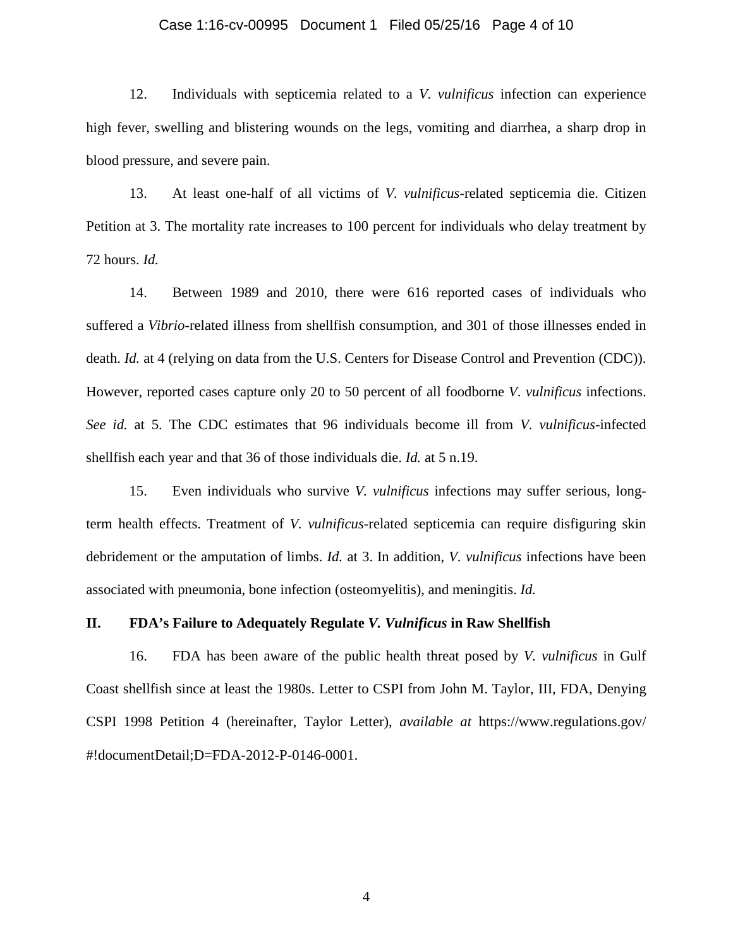#### Case 1:16-cv-00995 Document 1 Filed 05/25/16 Page 4 of 10

12. Individuals with septicemia related to a *V. vulnificus* infection can experience high fever, swelling and blistering wounds on the legs, vomiting and diarrhea, a sharp drop in blood pressure, and severe pain.

13. At least one-half of all victims of *V. vulnificus*-related septicemia die. Citizen Petition at 3. The mortality rate increases to 100 percent for individuals who delay treatment by 72 hours. *Id.*

14. Between 1989 and 2010, there were 616 reported cases of individuals who suffered a *Vibrio*-related illness from shellfish consumption, and 301 of those illnesses ended in death. *Id.* at 4 (relying on data from the U.S. Centers for Disease Control and Prevention (CDC)). However, reported cases capture only 20 to 50 percent of all foodborne *V. vulnificus* infections. *See id.* at 5. The CDC estimates that 96 individuals become ill from *V. vulnificus*-infected shellfish each year and that 36 of those individuals die. *Id.* at 5 n.19.

15. Even individuals who survive *V. vulnificus* infections may suffer serious, longterm health effects. Treatment of *V. vulnificus*-related septicemia can require disfiguring skin debridement or the amputation of limbs. *Id.* at 3. In addition, *V. vulnificus* infections have been associated with pneumonia, bone infection (osteomyelitis), and meningitis. *Id.*

### **II. FDA's Failure to Adequately Regulate** *V. Vulnificus* **in Raw Shellfish**

16. FDA has been aware of the public health threat posed by *V. vulnificus* in Gulf Coast shellfish since at least the 1980s. Letter to CSPI from John M. Taylor, III, FDA, Denying CSPI 1998 Petition 4 (hereinafter, Taylor Letter), *available at* https://www.regulations.gov/ #!documentDetail;D=FDA-2012-P-0146-0001.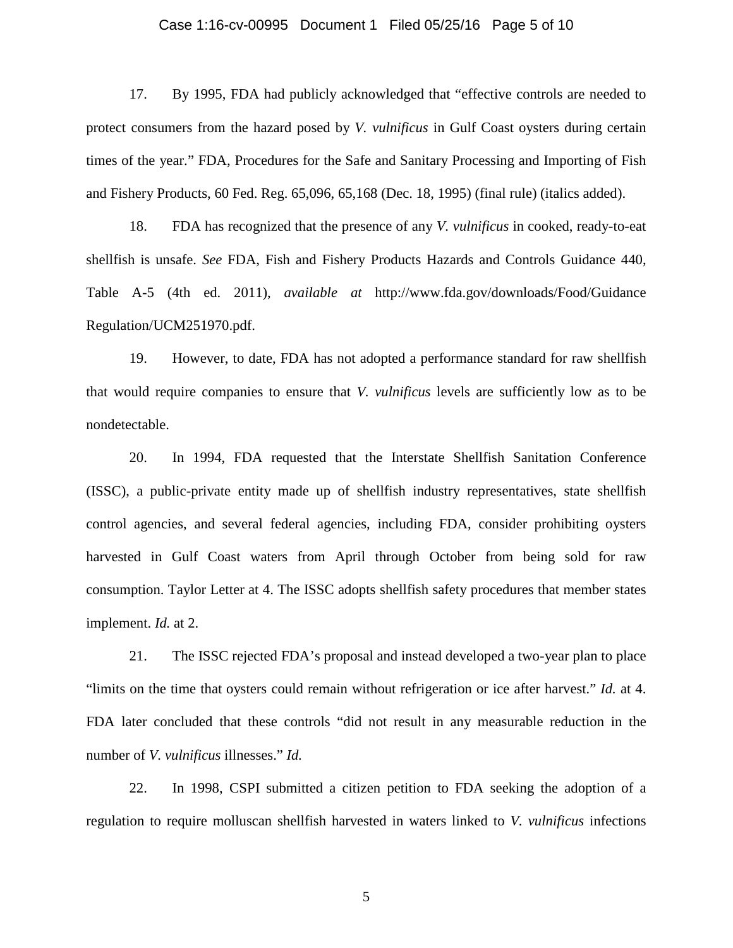#### Case 1:16-cv-00995 Document 1 Filed 05/25/16 Page 5 of 10

17. By 1995, FDA had publicly acknowledged that "effective controls are needed to protect consumers from the hazard posed by *V. vulnificus* in Gulf Coast oysters during certain times of the year." FDA, Procedures for the Safe and Sanitary Processing and Importing of Fish and Fishery Products, 60 Fed. Reg. 65,096, 65,168 (Dec. 18, 1995) (final rule) (italics added).

18. FDA has recognized that the presence of any *V. vulnificus* in cooked, ready-to-eat shellfish is unsafe. *See* FDA, Fish and Fishery Products Hazards and Controls Guidance 440, Table A-5 (4th ed. 2011), *available at* http://www.fda.gov/downloads/Food/Guidance Regulation/UCM251970.pdf.

19. However, to date, FDA has not adopted a performance standard for raw shellfish that would require companies to ensure that *V. vulnificus* levels are sufficiently low as to be nondetectable.

20. In 1994, FDA requested that the Interstate Shellfish Sanitation Conference (ISSC), a public-private entity made up of shellfish industry representatives, state shellfish control agencies, and several federal agencies, including FDA, consider prohibiting oysters harvested in Gulf Coast waters from April through October from being sold for raw consumption. Taylor Letter at 4. The ISSC adopts shellfish safety procedures that member states implement. *Id.* at 2.

21. The ISSC rejected FDA's proposal and instead developed a two-year plan to place "limits on the time that oysters could remain without refrigeration or ice after harvest." *Id.* at 4. FDA later concluded that these controls "did not result in any measurable reduction in the number of *V. vulnificus* illnesses." *Id.*

22. In 1998, CSPI submitted a citizen petition to FDA seeking the adoption of a regulation to require molluscan shellfish harvested in waters linked to *V. vulnificus* infections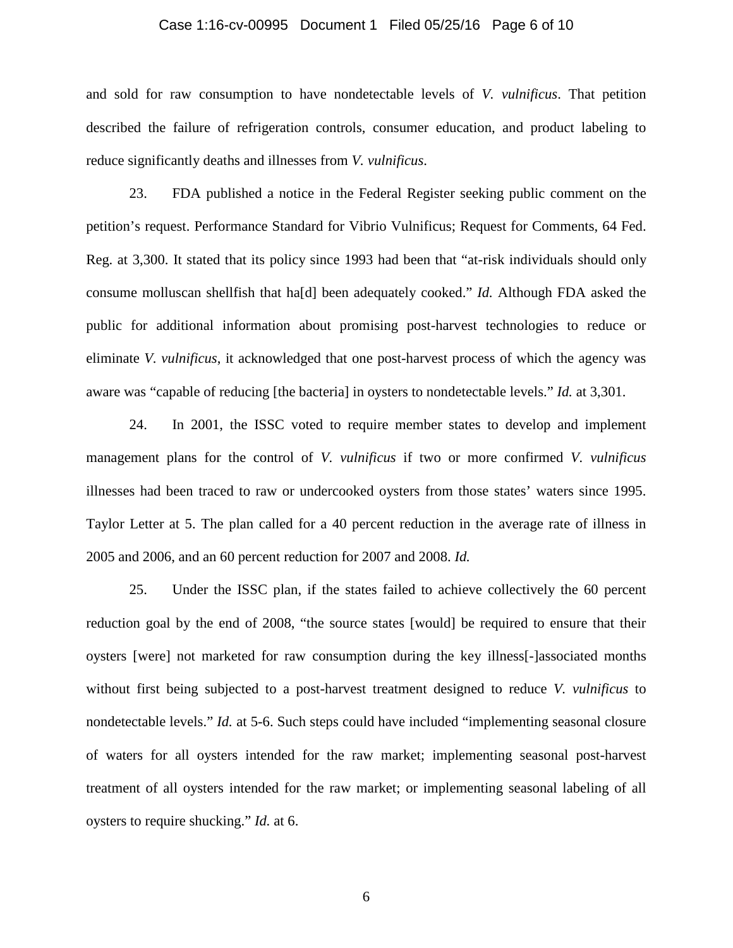#### Case 1:16-cv-00995 Document 1 Filed 05/25/16 Page 6 of 10

and sold for raw consumption to have nondetectable levels of *V. vulnificus*. That petition described the failure of refrigeration controls, consumer education, and product labeling to reduce significantly deaths and illnesses from *V. vulnificus*.

23. FDA published a notice in the Federal Register seeking public comment on the petition's request. Performance Standard for Vibrio Vulnificus; Request for Comments, 64 Fed. Reg. at 3,300. It stated that its policy since 1993 had been that "at-risk individuals should only consume molluscan shellfish that ha[d] been adequately cooked." *Id.* Although FDA asked the public for additional information about promising post-harvest technologies to reduce or eliminate *V. vulnificus*, it acknowledged that one post-harvest process of which the agency was aware was "capable of reducing [the bacteria] in oysters to nondetectable levels." *Id.* at 3,301.

24. In 2001, the ISSC voted to require member states to develop and implement management plans for the control of *V. vulnificus* if two or more confirmed *V. vulnificus* illnesses had been traced to raw or undercooked oysters from those states' waters since 1995. Taylor Letter at 5. The plan called for a 40 percent reduction in the average rate of illness in 2005 and 2006, and an 60 percent reduction for 2007 and 2008. *Id.* 

25. Under the ISSC plan, if the states failed to achieve collectively the 60 percent reduction goal by the end of 2008, "the source states [would] be required to ensure that their oysters [were] not marketed for raw consumption during the key illness[-]associated months without first being subjected to a post-harvest treatment designed to reduce *V. vulnificus* to nondetectable levels." *Id.* at 5-6. Such steps could have included "implementing seasonal closure of waters for all oysters intended for the raw market; implementing seasonal post-harvest treatment of all oysters intended for the raw market; or implementing seasonal labeling of all oysters to require shucking." *Id.* at 6.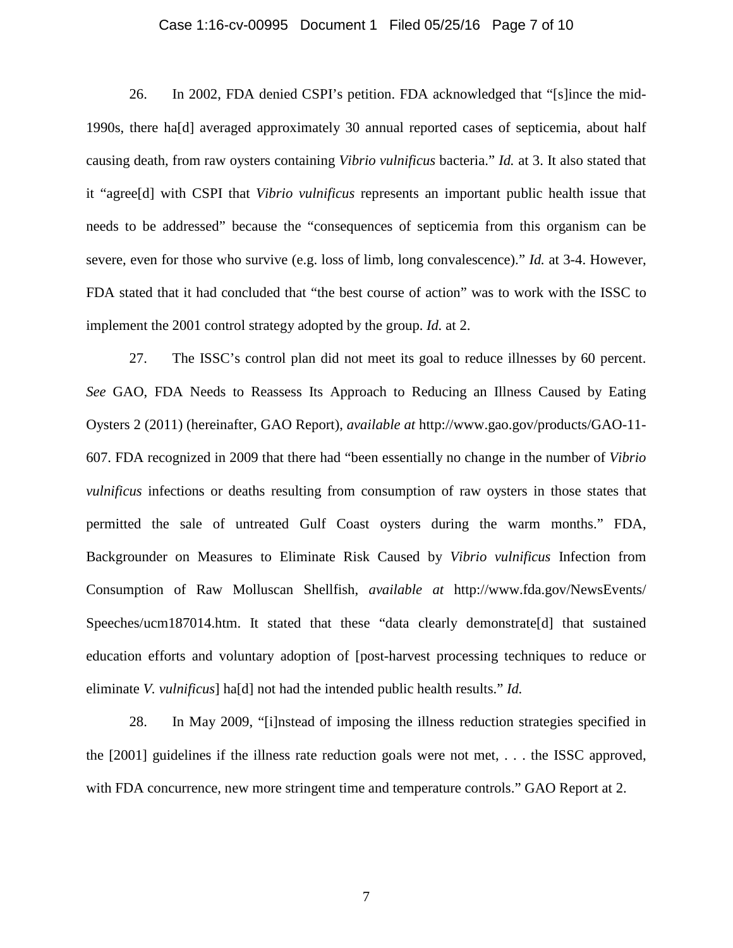#### Case 1:16-cv-00995 Document 1 Filed 05/25/16 Page 7 of 10

26. In 2002, FDA denied CSPI's petition. FDA acknowledged that "[s]ince the mid-1990s, there ha[d] averaged approximately 30 annual reported cases of septicemia, about half causing death, from raw oysters containing *Vibrio vulnificus* bacteria." *Id.* at 3. It also stated that it "agree[d] with CSPI that *Vibrio vulnificus* represents an important public health issue that needs to be addressed" because the "consequences of septicemia from this organism can be severe, even for those who survive (e.g. loss of limb, long convalescence)." *Id.* at 3-4. However, FDA stated that it had concluded that "the best course of action" was to work with the ISSC to implement the 2001 control strategy adopted by the group. *Id.* at 2.

27. The ISSC's control plan did not meet its goal to reduce illnesses by 60 percent. *See* GAO, FDA Needs to Reassess Its Approach to Reducing an Illness Caused by Eating Oysters 2 (2011) (hereinafter, GAO Report), *available at* http://www.gao.gov/products/GAO-11- 607. FDA recognized in 2009 that there had "been essentially no change in the number of *Vibrio vulnificus* infections or deaths resulting from consumption of raw oysters in those states that permitted the sale of untreated Gulf Coast oysters during the warm months." FDA, Backgrounder on Measures to Eliminate Risk Caused by *Vibrio vulnificus* Infection from Consumption of Raw Molluscan Shellfish, *available at* http://www.fda.gov/NewsEvents/ Speeches/ucm187014.htm. It stated that these "data clearly demonstrate[d] that sustained education efforts and voluntary adoption of [post-harvest processing techniques to reduce or eliminate *V. vulnificus*] ha[d] not had the intended public health results." *Id.*

28. In May 2009, "[i]nstead of imposing the illness reduction strategies specified in the [2001] guidelines if the illness rate reduction goals were not met, . . . the ISSC approved, with FDA concurrence, new more stringent time and temperature controls." GAO Report at 2.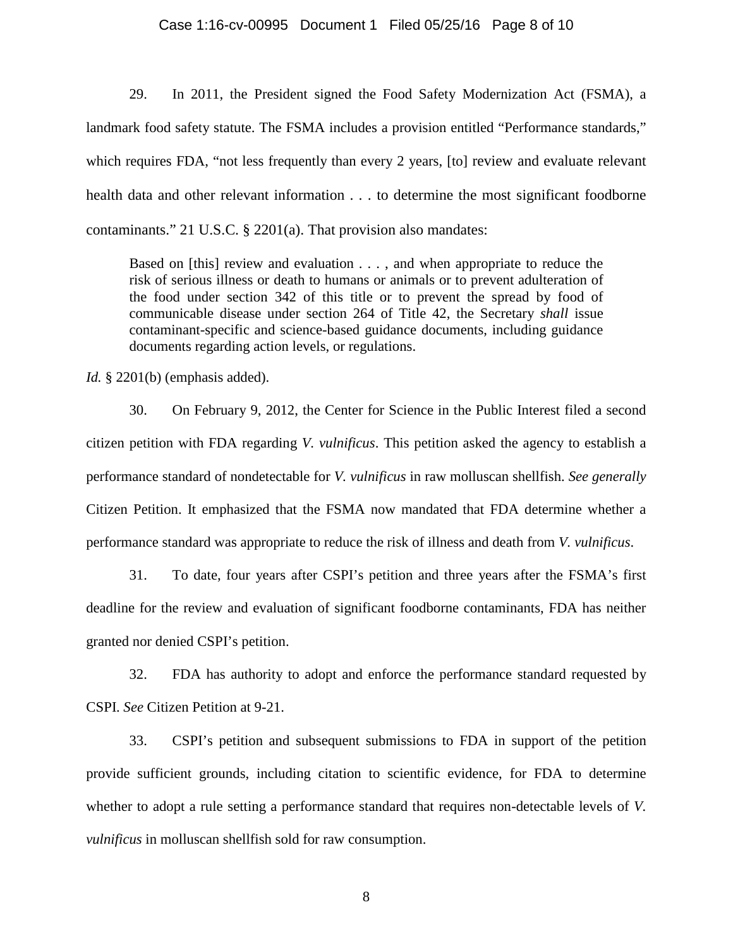#### Case 1:16-cv-00995 Document 1 Filed 05/25/16 Page 8 of 10

29. In 2011, the President signed the Food Safety Modernization Act (FSMA), a landmark food safety statute. The FSMA includes a provision entitled "Performance standards," which requires FDA, "not less frequently than every 2 years, [to] review and evaluate relevant health data and other relevant information . . . to determine the most significant foodborne contaminants." 21 U.S.C. § 2201(a). That provision also mandates:

Based on [this] review and evaluation . . . , and when appropriate to reduce the risk of serious illness or death to humans or animals or to prevent adulteration of the food under section 342 of this title or to prevent the spread by food of communicable disease under section 264 of Title 42, the Secretary *shall* issue contaminant-specific and science-based guidance documents, including guidance documents regarding action levels, or regulations.

*Id.* § 2201(b) (emphasis added).

30. On February 9, 2012, the Center for Science in the Public Interest filed a second citizen petition with FDA regarding *V. vulnificus*. This petition asked the agency to establish a performance standard of nondetectable for *V. vulnificus* in raw molluscan shellfish. *See generally*  Citizen Petition. It emphasized that the FSMA now mandated that FDA determine whether a performance standard was appropriate to reduce the risk of illness and death from *V. vulnificus*.

31. To date, four years after CSPI's petition and three years after the FSMA's first deadline for the review and evaluation of significant foodborne contaminants, FDA has neither granted nor denied CSPI's petition.

32. FDA has authority to adopt and enforce the performance standard requested by CSPI. *See* Citizen Petition at 9-21.

33. CSPI's petition and subsequent submissions to FDA in support of the petition provide sufficient grounds, including citation to scientific evidence, for FDA to determine whether to adopt a rule setting a performance standard that requires non-detectable levels of *V. vulnificus* in molluscan shellfish sold for raw consumption.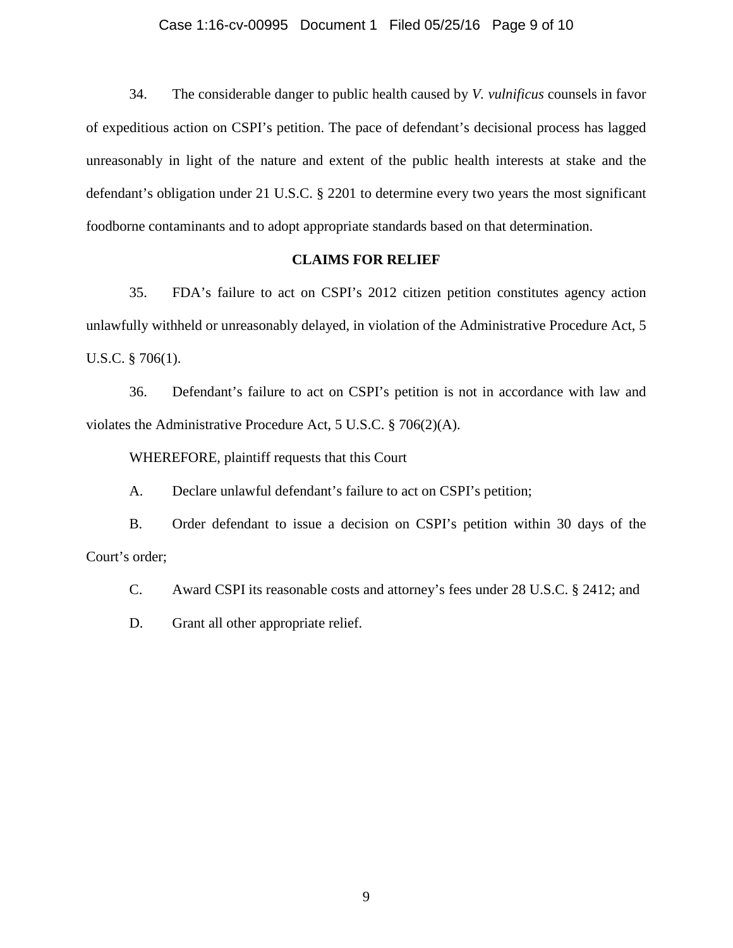#### Case 1:16-cv-00995 Document 1 Filed 05/25/16 Page 9 of 10

34. The considerable danger to public health caused by *V. vulnificus* counsels in favor of expeditious action on CSPI's petition. The pace of defendant's decisional process has lagged unreasonably in light of the nature and extent of the public health interests at stake and the defendant's obligation under 21 U.S.C. § 2201 to determine every two years the most significant foodborne contaminants and to adopt appropriate standards based on that determination.

### **CLAIMS FOR RELIEF**

35. FDA's failure to act on CSPI's 2012 citizen petition constitutes agency action unlawfully withheld or unreasonably delayed, in violation of the Administrative Procedure Act, 5 U.S.C. § 706(1).

36. Defendant's failure to act on CSPI's petition is not in accordance with law and violates the Administrative Procedure Act, 5 U.S.C. § 706(2)(A).

WHEREFORE, plaintiff requests that this Court

A. Declare unlawful defendant's failure to act on CSPI's petition;

B. Order defendant to issue a decision on CSPI's petition within 30 days of the Court's order;

C. Award CSPI its reasonable costs and attorney's fees under 28 U.S.C. § 2412; and

D. Grant all other appropriate relief.